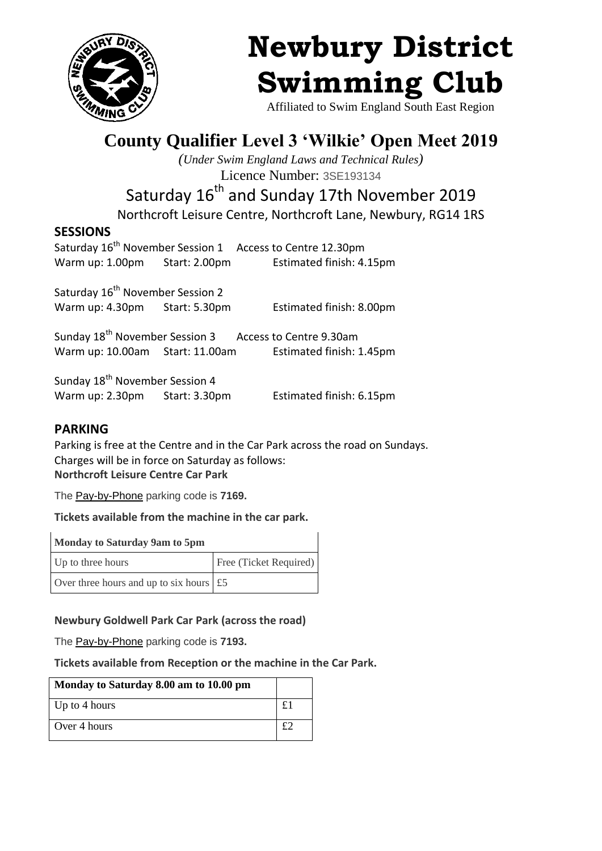

# **Newbury District Swimming Club**

Affiliated to Swim England South East Region

## **County Qualifier Level 3 'Wilkie' Open Meet 2019**

*(Under Swim England Laws and Technical Rules)* Licence Number: 3SE193134

### Saturday 16<sup>th</sup> and Sunday 17th November 2019

Northcroft Leisure Centre, Northcroft Lane, Newbury, RG14 1RS

#### **SESSIONS**

Saturday 16<sup>th</sup> November Session 1 Access to Centre 12.30pm Warm up: 1.00pm Start: 2.00pm Estimated finish: 4.15pm

Saturday 16<sup>th</sup> November Session 2 Warm up: 4.30pm Start: 5.30pm Estimated finish: 8.00pm

Sunday 18<sup>th</sup> November Session 3 Access to Centre 9.30am Warm up: 10.00am Start: 11.00am Estimated finish: 1.45pm

Sunday 18<sup>th</sup> November Session 4 Warm up: 2.30pm Start: 3.30pm Estimated finish: 6.15pm

#### **PARKING**

Parking is free at the Centre and in the Car Park across the road on Sundays. Charges will be in force on Saturday as follows: **Northcroft Leisure Centre Car Park**

The [Pay-by-Phone](https://info.westberks.gov.uk/article/27883) parking code is **7169.**

**Tickets available from the machine in the car park.**

| Monday to Saturday 9am to 5pm                   |                        |
|-------------------------------------------------|------------------------|
| Up to three hours                               | Free (Ticket Required) |
| Over three hours and up to six hours $\vert$ £5 |                        |

#### **Newbury Goldwell Park Car Park (across the road)**

The [Pay-by-Phone](https://info.westberks.gov.uk/article/27883) parking code is **7193.**

**Tickets available from Reception or the machine in the Car Park.**

| Monday to Saturday 8.00 am to 10.00 pm |  |
|----------------------------------------|--|
| Up to 4 hours                          |  |
| Over 4 hours                           |  |